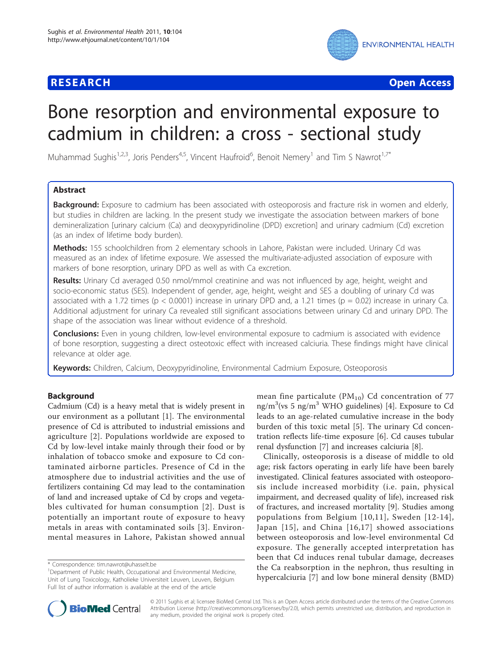

**RESEARCH CONTROL** CONTROL CONTROL CONTROL CONTROL CONTROL CONTROL CONTROL CONTROL CONTROL CONTROL CONTROL CONTROL CONTROL CONTROL CONTROL CONTROL CONTROL CONTROL CONTROL CONTROL CONTROL CONTROL CONTROL CONTROL CONTROL CON

# Bone resorption and environmental exposure to cadmium in children: a cross - sectional study

Muhammad Sughis<sup>1,2,3</sup>, Joris Penders<sup>4,5</sup>, Vincent Haufroid<sup>6</sup>, Benoit Nemery<sup>1</sup> and Tim S Nawrot<sup>1,7\*</sup>

# Abstract

Background: Exposure to cadmium has been associated with osteoporosis and fracture risk in women and elderly, but studies in children are lacking. In the present study we investigate the association between markers of bone demineralization [urinary calcium (Ca) and deoxypyridinoline (DPD) excretion] and urinary cadmium (Cd) excretion (as an index of lifetime body burden).

Methods: 155 schoolchildren from 2 elementary schools in Lahore, Pakistan were included. Urinary Cd was measured as an index of lifetime exposure. We assessed the multivariate-adjusted association of exposure with markers of bone resorption, urinary DPD as well as with Ca excretion.

Results: Urinary Cd averaged 0.50 nmol/mmol creatinine and was not influenced by age, height, weight and socio-economic status (SES). Independent of gender, age, height, weight and SES a doubling of urinary Cd was associated with a 1.72 times ( $p < 0.0001$ ) increase in urinary DPD and, a 1.21 times ( $p = 0.02$ ) increase in urinary Ca. Additional adjustment for urinary Ca revealed still significant associations between urinary Cd and urinary DPD. The shape of the association was linear without evidence of a threshold.

**Conclusions:** Even in young children, low-level environmental exposure to cadmium is associated with evidence of bone resorption, suggesting a direct osteotoxic effect with increased calciuria. These findings might have clinical relevance at older age.

Keywords: Children, Calcium, Deoxypyridinoline, Environmental Cadmium Exposure, Osteoporosis

# Background

Cadmium (Cd) is a heavy metal that is widely present in our environment as a pollutant [[1](#page-4-0)]. The environmental presence of Cd is attributed to industrial emissions and agriculture [\[2\]](#page-4-0). Populations worldwide are exposed to Cd by low-level intake mainly through their food or by inhalation of tobacco smoke and exposure to Cd contaminated airborne particles. Presence of Cd in the atmosphere due to industrial activities and the use of fertilizers containing Cd may lead to the contamination of land and increased uptake of Cd by crops and vegetables cultivated for human consumption [[2\]](#page-4-0). Dust is potentially an important route of exposure to heavy metals in areas with contaminated soils [[3](#page-4-0)]. Environmental measures in Lahore, Pakistan showed annual

mean fine particalute ( $PM_{10}$ ) Cd concentration of 77 ng/m<sup>3</sup>(vs 5 ng/m<sup>3</sup> WHO guidelines) [[4\]](#page-4-0). Exposure to Cd leads to an age-related cumulative increase in the body burden of this toxic metal [[5](#page-4-0)]. The urinary Cd concentration reflects life-time exposure [\[6](#page-4-0)]. Cd causes tubular renal dysfunction [\[7\]](#page-4-0) and increases calciuria [[8\]](#page-4-0).

Clinically, osteoporosis is a disease of middle to old age; risk factors operating in early life have been barely investigated. Clinical features associated with osteoporosis include increased morbidity (i.e. pain, physical impairment, and decreased quality of life), increased risk of fractures, and increased mortality [\[9](#page-4-0)]. Studies among populations from Belgium [[10](#page-4-0),[11\]](#page-4-0), Sweden [[12-14\]](#page-4-0), Japan [[15](#page-4-0)], and China [[16,17\]](#page-4-0) showed associations between osteoporosis and low-level environmental Cd exposure. The generally accepted interpretation has been that Cd induces renal tubular damage, decreases the Ca reabsorption in the nephron, thus resulting in hypercalciuria [[7\]](#page-4-0) and low bone mineral density (BMD)



© 2011 Sughis et al; licensee BioMed Central Ltd. This is an Open Access article distributed under the terms of the Creative Commons Attribution License [\(http://creativecommons.org/licenses/by/2.0](http://creativecommons.org/licenses/by/2.0)), which permits unrestricted use, distribution, and reproduction in any medium, provided the original work is properly cited.

<sup>\*</sup> Correspondence: [tim.nawrot@uhasselt.be](mailto:tim.nawrot@uhasselt.be)

<sup>&</sup>lt;sup>1</sup>Department of Public Health, Occupational and Environmental Medicine, Unit of Lung Toxicology, Katholieke Universiteit Leuven, Leuven, Belgium Full list of author information is available at the end of the article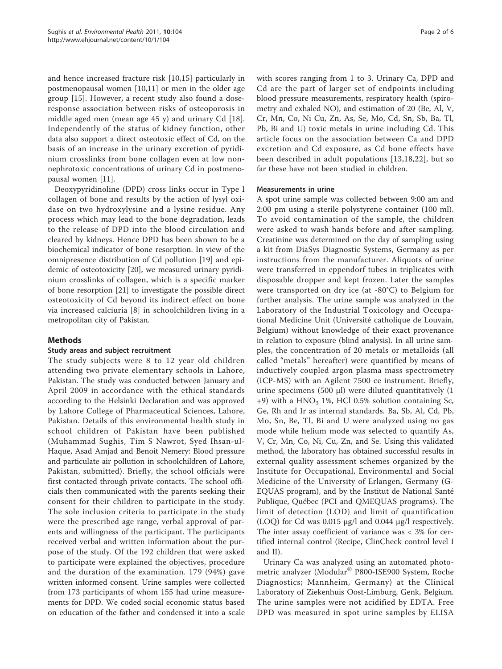and hence increased fracture risk [\[10,15](#page-4-0)] particularly in postmenopausal women [[10,11\]](#page-4-0) or men in the older age group [[15\]](#page-4-0). However, a recent study also found a doseresponse association between risks of osteoporosis in middle aged men (mean age 45 y) and urinary Cd [[18](#page-4-0)]. Independently of the status of kidney function, other data also support a direct osteotoxic effect of Cd, on the basis of an increase in the urinary excretion of pyridinium crosslinks from bone collagen even at low nonnephrotoxic concentrations of urinary Cd in postmenopausal women [[11](#page-4-0)].

Deoxypyridinoline (DPD) cross links occur in Type I collagen of bone and results by the action of lysyl oxidase on two hydroxylysine and a lysine residue. Any process which may lead to the bone degradation, leads to the release of DPD into the blood circulation and cleared by kidneys. Hence DPD has been shown to be a biochemical indicator of bone resorption. In view of the omnipresence distribution of Cd pollution [[19\]](#page-4-0) and epidemic of osteotoxicity [[20](#page-4-0)], we measured urinary pyridinium crosslinks of collagen, which is a specific marker of bone resorption [\[21](#page-4-0)] to investigate the possible direct osteotoxicity of Cd beyond its indirect effect on bone via increased calciuria [[8](#page-4-0)] in schoolchildren living in a metropolitan city of Pakistan.

# Methods

# Study areas and subject recruitment

The study subjects were 8 to 12 year old children attending two private elementary schools in Lahore, Pakistan. The study was conducted between January and April 2009 in accordance with the ethical standards according to the Helsinki Declaration and was approved by Lahore College of Pharmaceutical Sciences, Lahore, Pakistan. Details of this environmental health study in school children of Pakistan have been published (Muhammad Sughis, Tim S Nawrot, Syed Ihsan-ul-Haque, Asad Amjad and Benoit Nemery: Blood pressure and particulate air pollution in schoolchildren of Lahore, Pakistan, submitted). Briefly, the school officials were first contacted through private contacts. The school officials then communicated with the parents seeking their consent for their children to participate in the study. The sole inclusion criteria to participate in the study were the prescribed age range, verbal approval of parents and willingness of the participant. The participants received verbal and written information about the purpose of the study. Of the 192 children that were asked to participate were explained the objectives, procedure and the duration of the examination. 179 (94%) gave written informed consent. Urine samples were collected from 173 participants of whom 155 had urine measurements for DPD. We coded social economic status based on education of the father and condensed it into a scale with scores ranging from 1 to 3. Urinary Ca, DPD and Cd are the part of larger set of endpoints including blood pressure measurements, respiratory health (spirometry and exhaled NO), and estimation of 20 (Be, Al, V, Cr, Mn, Co, Ni Cu, Zn, As, Se, Mo, Cd, Sn, Sb, Ba, Tl, Pb, Bi and U) toxic metals in urine including Cd. This article focus on the association between Ca and DPD excretion and Cd exposure, as Cd bone effects have been described in adult populations [[13](#page-4-0),[18,22](#page-4-0)], but so far these have not been studied in children.

### Measurements in urine

A spot urine sample was collected between 9:00 am and 2:00 pm using a sterile polystyrene container (100 ml). To avoid contamination of the sample, the children were asked to wash hands before and after sampling. Creatinine was determined on the day of sampling using a kit from DiaSys Diagnostic Systems, Germany as per instructions from the manufacturer. Aliquots of urine were transferred in eppendorf tubes in triplicates with disposable dropper and kept frozen. Later the samples were transported on dry ice (at -80°C) to Belgium for further analysis. The urine sample was analyzed in the Laboratory of the Industrial Toxicology and Occupational Medicine Unit (Université catholique de Louvain, Belgium) without knowledge of their exact provenance in relation to exposure (blind analysis). In all urine samples, the concentration of 20 metals or metalloids (all called "metals" hereafter) were quantified by means of inductively coupled argon plasma mass spectrometry (ICP-MS) with an Agilent 7500 ce instrument. Briefly, urine specimens (500 μl) were diluted quantitatively (1  $+9$ ) with a HNO<sub>3</sub> 1%, HCl 0.5% solution containing Sc, Ge, Rh and Ir as internal standards. Ba, Sb, Al, Cd, Pb, Mo, Sn, Be, Tl, Bi and U were analyzed using no gas mode while helium mode was selected to quantify As, V, Cr, Mn, Co, Ni, Cu, Zn, and Se. Using this validated method, the laboratory has obtained successful results in external quality assessment schemes organized by the Institute for Occupational, Environmental and Social Medicine of the University of Erlangen, Germany (G-EQUAS program), and by the Institut de National Santé Publique, Québec (PCI and QMEQUAS programs). The limit of detection (LOD) and limit of quantification (LOQ) for Cd was 0.015 μg/l and 0.044 μg/l respectively. The inter assay coefficient of variance was < 3% for certified internal control (Recipe, ClinCheck control level I and II).

Urinary Ca was analyzed using an automated photometric analyzer (Modular® P800-ISE900 System, Roche Diagnostics; Mannheim, Germany) at the Clinical Laboratory of Ziekenhuis Oost-Limburg, Genk, Belgium. The urine samples were not acidified by EDTA. Free DPD was measured in spot urine samples by ELISA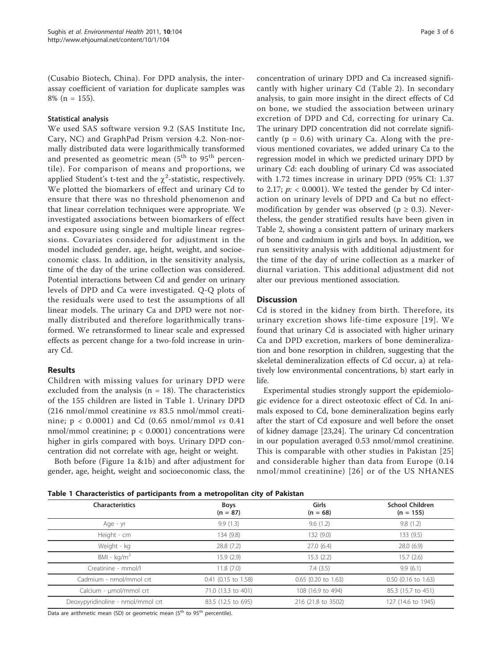(Cusabio Biotech, China). For DPD analysis, the interassay coefficient of variation for duplicate samples was 8% (n = 155).

#### Statistical analysis

We used SAS software version 9.2 (SAS Institute Inc, Cary, NC) and GraphPad Prism version 4.2. Non-normally distributed data were logarithmically transformed and presented as geometric mean  $(5^{th}$  to  $95^{th}$  percentile). For comparison of means and proportions, we applied Student's t-test and the  $\chi^2$ -statistic, respectively. We plotted the biomarkers of effect and urinary Cd to ensure that there was no threshold phenomenon and that linear correlation techniques were appropriate. We investigated associations between biomarkers of effect and exposure using single and multiple linear regressions. Covariates considered for adjustment in the model included gender, age, height, weight, and socioeconomic class. In addition, in the sensitivity analysis, time of the day of the urine collection was considered. Potential interactions between Cd and gender on urinary levels of DPD and Ca were investigated. Q-Q plots of the residuals were used to test the assumptions of all linear models. The urinary Ca and DPD were not normally distributed and therefore logarithmically transformed. We retransformed to linear scale and expressed effects as percent change for a two-fold increase in urinary Cd.

# Results

Children with missing values for urinary DPD were excluded from the analysis ( $n = 18$ ). The characteristics of the 155 children are listed in Table 1. Urinary DPD (216 nmol/mmol creatinine vs 83.5 nmol/mmol creatinine;  $p < 0.0001$ ) and Cd (0.65 nmol/mmol vs 0.41 nmol/mmol creatinine;  $p < 0.0001$ ) concentrations were higher in girls compared with boys. Urinary DPD concentration did not correlate with age, height or weight.

Both before (Figure [1a](#page-3-0) &[1b\)](#page-3-0) and after adjustment for gender, age, height, weight and socioeconomic class, the concentration of urinary DPD and Ca increased significantly with higher urinary Cd (Table [2\)](#page-3-0). In secondary analysis, to gain more insight in the direct effects of Cd on bone, we studied the association between urinary excretion of DPD and Cd, correcting for urinary Ca. The urinary DPD concentration did not correlate significantly ( $p = 0.6$ ) with urinary Ca. Along with the previous mentioned covariates, we added urinary Ca to the regression model in which we predicted urinary DPD by urinary Cd: each doubling of urinary Cd was associated with 1.72 times increase in urinary DPD (95% CI: 1.37 to 2.17;  $p: < 0.0001$ ). We tested the gender by Cd interaction on urinary levels of DPD and Ca but no effectmodification by gender was observed ( $p \ge 0.3$ ). Nevertheless, the gender stratified results have been given in Table [2,](#page-3-0) showing a consistent pattern of urinary markers of bone and cadmium in girls and boys. In addition, we run sensitivity analysis with additional adjustment for the time of the day of urine collection as a marker of diurnal variation. This additional adjustment did not alter our previous mentioned association.

# **Discussion**

Cd is stored in the kidney from birth. Therefore, its urinary excretion shows life-time exposure [[19](#page-4-0)]. We found that urinary Cd is associated with higher urinary Ca and DPD excretion, markers of bone demineralization and bone resorption in children, suggesting that the skeletal demineralization effects of Cd occur, a) at relatively low environmental concentrations, b) start early in life.

Experimental studies strongly support the epidemiologic evidence for a direct osteotoxic effect of Cd. In animals exposed to Cd, bone demineralization begins early after the start of Cd exposure and well before the onset of kidney damage [[23,24\]](#page-4-0). The urinary Cd concentration in our population averaged 0.53 nmol/mmol creatinine. This is comparable with other studies in Pakistan [\[25](#page-4-0)] and considerable higher than data from Europe (0.14 nmol/mmol creatinine) [[26](#page-5-0)] or of the US NHANES

Table 1 Characteristics of participants from a metropolitan city of Pakistan

| <b>Characteristics</b>            | <b>Boys</b><br>$(n = 87)$ | Girls<br>$(n = 68)$   | <b>School Children</b><br>$(n = 155)$ |  |
|-----------------------------------|---------------------------|-----------------------|---------------------------------------|--|
| Age - yr                          | 9.9(1.3)                  | 9.6(1.2)              | 9.8(1.2)                              |  |
| Height - cm                       | 134 (9.8)                 | 132 (9.0)             | 133(9.5)                              |  |
| Weight - kg                       | 28.8(7.2)                 | 27.0(6.4)             | 28.0(6.9)                             |  |
| $BM - kq/m2$                      | 15.9(2.9)                 | 15.3(2.2)             | 15.7(2.6)                             |  |
| Creatinine - mmol/l               | 11.8(7.0)                 | 7.4(3.5)              | 9.9(6.1)                              |  |
| Cadmium - nmol/mmol crt           | 0.41 (0.15 to 1.58)       | $0.65$ (0.20 to 1.63) | $0.50$ (0.16 to 1.63)                 |  |
| Calcium - µmol/mmol crt           | 71.0 (13.3 to 401)        | 108 (16.9 to 494)     | 85.3 (15.7 to 451)                    |  |
| Deoxypyridinoline - nmol/mmol crt | 83.5 (12.5 to 695)        | 216 (21.8 to 3502)    | 127 (14.6 to 1945)                    |  |

Data are arithmetic mean (SD) or geometric mean (5<sup>th</sup> to 95<sup>th</sup> percentile).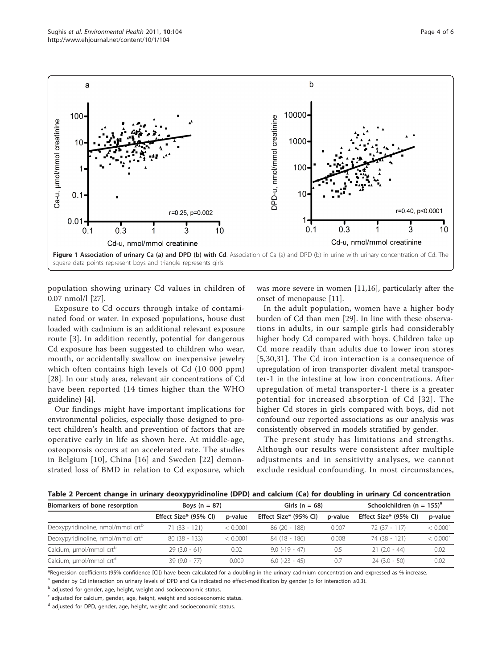<span id="page-3-0"></span>

population showing urinary Cd values in children of 0.07 nmol/l [\[27](#page-5-0)].

Exposure to Cd occurs through intake of contaminated food or water. In exposed populations, house dust loaded with cadmium is an additional relevant exposure route [[3](#page-4-0)]. In addition recently, potential for dangerous Cd exposure has been suggested to children who wear, mouth, or accidentally swallow on inexpensive jewelry which often contains high levels of Cd (10 000 ppm) [[28\]](#page-5-0). In our study area, relevant air concentrations of Cd have been reported (14 times higher than the WHO guideline) [\[4](#page-4-0)].

Our findings might have important implications for environmental policies, especially those designed to protect children's health and prevention of factors that are operative early in life as shown here. At middle-age, osteoporosis occurs at an accelerated rate. The studies in Belgium [[10](#page-4-0)], China [[16\]](#page-4-0) and Sweden [[22](#page-4-0)] demonstrated loss of BMD in relation to Cd exposure, which

was more severe in women [[11,16\]](#page-4-0), particularly after the onset of menopause [\[11](#page-4-0)].

In the adult population, women have a higher body burden of Cd than men [[29\]](#page-5-0). In line with these observations in adults, in our sample girls had considerably higher body Cd compared with boys. Children take up Cd more readily than adults due to lower iron stores [[5](#page-4-0),[30,31](#page-5-0)]. The Cd iron interaction is a consequence of upregulation of iron transporter divalent metal transporter-1 in the intestine at low iron concentrations. After upregulation of metal transporter-1 there is a greater potential for increased absorption of Cd [[32\]](#page-5-0). The higher Cd stores in girls compared with boys, did not confound our reported associations as our analysis was consistently observed in models stratified by gender.

The present study has limitations and strengths. Although our results were consistent after multiple adjustments and in sensitivity analyses, we cannot exclude residual confounding. In most circumstances,

|  |  | Table 2 Percent change in urinary deoxypyridinoline (DPD) and calcium (Ca) for doubling in urinary Cd concentration |  |
|--|--|---------------------------------------------------------------------------------------------------------------------|--|
|--|--|---------------------------------------------------------------------------------------------------------------------|--|

| Biomarkers of bone resorption                 | Boys $(n = 87)$       |          | Girls ( $n = 68$ )    |         | Schoolchildren (n = $155$ ) <sup>a</sup> |          |
|-----------------------------------------------|-----------------------|----------|-----------------------|---------|------------------------------------------|----------|
|                                               | Effect Size* (95% CI) | p-value  | Effect Size* (95% CI) | p-value | Effect Size* (95% CI)                    | p-value  |
| Deoxypyridinoline, nmol/mmol crt <sup>p</sup> | $71(33 - 121)$        | < 0.0001 | 86 (20 - 188)         | 0.007   | $72(37 - 117)$                           | < 0.0001 |
| Deoxypyridinoline, nmol/mmol crt <sup>c</sup> | $80(38 - 133)$        | < 0.0001 | 84 (18 - 186)         | 0.008   | 74 (38 - 121)                            | < 0.0001 |
| Calcium, µmol/mmol crt <sup>b</sup>           | $29(3.0 - 61)$        | 0.02     | $9.0$ (-19 - 47)      | 0.5     | $21(2.0 - 44)$                           | 0.02     |
| Calcium, µmol/mmol crt <sup>a</sup>           | $39(9.0 - 77)$        | 0.009    | $6.0$ (-23 - 45)      |         | $24(3.0 - 50)$                           | 0.02     |

\*Regression coefficients (95% confidence [CI]) have been calculated for a doubling in the urinary cadmium concentration and expressed as % increase.

<sup>a</sup> gender by Cd interaction on urinary levels of DPD and Ca indicated no effect-modification by gender (p for interaction ≥0.3).

b adjusted for gender, age, height, weight and socioeconomic status.

<sup>c</sup> adjusted for calcium, gender, age, height, weight and socioeconomic status.

d adjusted for DPD, gender, age, height, weight and socioeconomic status.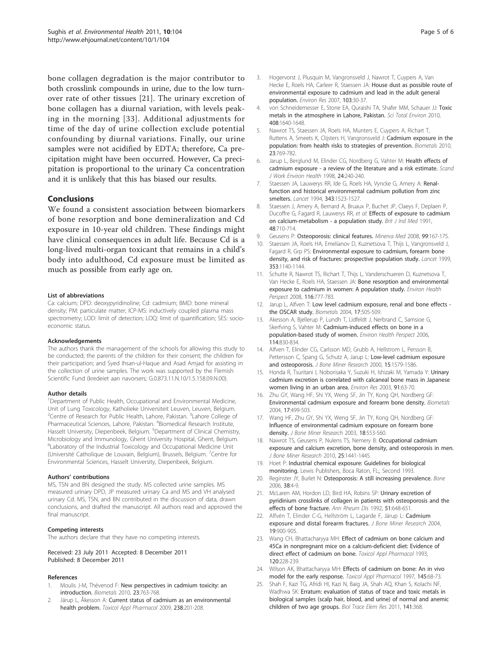<span id="page-4-0"></span>bone collagen degradation is the major contributor to both crosslink compounds in urine, due to the low turnover rate of other tissues [21]. The urinary excretion of bone collagen has a diurnal variation, with levels peaking in the morning [[33](#page-5-0)]. Additional adjustments for time of the day of urine collection exclude potential confounding by diurnal variations. Finally, our urine samples were not acidified by EDTA; therefore, Ca precipitation might have been occurred. However, Ca precipitation is proportional to the urinary Ca concentration and it is unlikely that this has biased our results.

# Conclusions

We found a consistent association between biomarkers of bone resorption and bone demineralization and Cd exposure in 10-year old children. These findings might have clinical consequences in adult life. Because Cd is a long-lived multi-organ toxicant that remains in a child's body into adulthood, Cd exposure must be limited as much as possible from early age on.

#### List of abbreviations

Ca: calcium; DPD: deoxypyridinoline; Cd: cadmium; BMD: bone mineral density; PM: particulate matter; ICP-MS: inductively coupled plasma mass spectrometry; LOD: limit of detection; LOQ: limit of quantification; SES: socioeconomic status.

#### Acknowledgements

The authors thank the management of the schools for allowing this study to be conducted; the parents of the children for their consent; the children for their participation; and Syed Ihsan-ul-Haque and Asad Amjad for assisting in the collection of urine samples. The work was supported by the Flemish Scientific Fund (kredeiet aan navorsers; G.0.873.11.N.10/1.5.158.09.N.00).

#### Author details

<sup>1</sup>Department of Public Health, Occupational and Environmental Medicine, Unit of Lung Toxicology, Katholieke Universiteit Leuven, Leuven, Belgium. <sup>2</sup>Centre of Research for Public Health, Lahore, Pakistan. <sup>3</sup>Lahore College of Pharmaceutical Sciences, Lahore, Pakistan. <sup>4</sup>Biomedical Research Institute, Hasselt University, Diepenbeek, Belgium. <sup>5</sup>Department of Clinical Chemistry, Microbiology and Immunology, Ghent University Hospital, Ghent, Belgium. <sup>6</sup>Laboratory of the Industrial Toxicology and Occupational Medicine Unit (Université Catholique de Louvain, Belgium), Brussels, Belgium. <sup>7</sup>Centre for Environmental Sciences, Hasselt University, Diepenbeek, Belgium.

#### Authors' contributions

MS, TSN and BN designed the study. MS collected urine samples. MS measured urinary DPD, JP measured urinary Ca and MS and VH analysed urinary Cd. MS, TSN, and BN contributed in the discussion of data, drawn conclusions, and drafted the manuscript. All authors read and approved the final manuscript.

#### Competing interests

The authors declare that they have no competing interests.

Received: 23 July 2011 Accepted: 8 December 2011 Published: 8 December 2011

#### References

- Moulis J-M, Thévenod F: [New perspectives in cadmium toxicity: an](http://www.ncbi.nlm.nih.gov/pubmed/20632201?dopt=Abstract) [introduction.](http://www.ncbi.nlm.nih.gov/pubmed/20632201?dopt=Abstract) Biometals 2010, 23:763-768.
- Järup L, Åkesson A: [Current status of cadmium as an environmental](http://www.ncbi.nlm.nih.gov/pubmed/19409405?dopt=Abstract) [health problem.](http://www.ncbi.nlm.nih.gov/pubmed/19409405?dopt=Abstract) Toxicol Appl Pharmacol 2009, 238:201-208.
- 3. Hogervorst J, Plusquin M, Vangronsveld J, Nawrot T, Cuypers A, Van Hecke E, Roels HA, Carleer R, Staessen JA: [House dust as possible route of](http://www.ncbi.nlm.nih.gov/pubmed/16843453?dopt=Abstract) [environmental exposure to cadmium and lead in the adult general](http://www.ncbi.nlm.nih.gov/pubmed/16843453?dopt=Abstract) [population.](http://www.ncbi.nlm.nih.gov/pubmed/16843453?dopt=Abstract) Environ Res 2007, 103:30-37.
- 4. von Schneidemesser E, Stone EA, Quraishi TA, Shafer MM, Schauer JJ: [Toxic](http://www.ncbi.nlm.nih.gov/pubmed/20080284?dopt=Abstract) [metals in the atmosphere in Lahore, Pakistan.](http://www.ncbi.nlm.nih.gov/pubmed/20080284?dopt=Abstract) Sci Total Environ 2010, 408:1640-1648.
- 5. Nawrot TS, Staessen JA, Roels HA, Munters E, Cuypers A, Richart T, Ruttens A, Smeets K, Clijsters H, Vangronsveld J: [Cadmium exposure in the](http://www.ncbi.nlm.nih.gov/pubmed/20517707?dopt=Abstract) [population: from health risks to strategies of prevention.](http://www.ncbi.nlm.nih.gov/pubmed/20517707?dopt=Abstract) Biometals 2010, 23:769-782.
- 6. Jarup L, Berglund M, Elinder CG, Nordberg G, Vahter M: Health effects of cadmium exposure - a review of the literature and a risk estimate. Scand J Work Environ Health 1998, 24:240-240.
- 7. Staessen JA, Lauwerys RR, Ide G, Roels HA, Vyncke G, Amery A: [Renal](http://www.ncbi.nlm.nih.gov/pubmed/7911869?dopt=Abstract)[function and historical environmental cadmium pollution from zinc](http://www.ncbi.nlm.nih.gov/pubmed/7911869?dopt=Abstract) [smelters.](http://www.ncbi.nlm.nih.gov/pubmed/7911869?dopt=Abstract) Lancet 1994, 343:1523-1527.
- 8. Staessen J, Amery A, Bernard A, Bruaux P, Buchet JP, Claeys F, Deplaen P, Ducoffre G, Fagard R, Lauwerys RR, et al: Effects of exposure to cadmium on calcium-metabolism - a population study. Brit J Ind Med 1991, 48:710-714.
- 9. Geusens P: [Osteoporosis: clinical features.](http://www.ncbi.nlm.nih.gov/pubmed/18431325?dopt=Abstract) Minerva Med 2008, 99:167-175.
- 10. Staessen JA, Roels HA, Emelianov D, Kuznetsova T, Thijs L, Vangronsveld J, Fagard R, Grp PS: [Environmental exposure to cadmium, forearm bone](http://www.ncbi.nlm.nih.gov/pubmed/10209978?dopt=Abstract) [density, and risk of fractures: prospective population study.](http://www.ncbi.nlm.nih.gov/pubmed/10209978?dopt=Abstract) *Lancet* 1999. 353:1140-1144.
- 11. Schutte R, Nawrot TS, Richart T, Thijs L, Vanderschueren D, Kuznetsova T, Van Hecke E, Roels HA, Staessen JA: [Bone resorption and environmental](http://www.ncbi.nlm.nih.gov/pubmed/18560534?dopt=Abstract) [exposure to cadmium in women: A population study.](http://www.ncbi.nlm.nih.gov/pubmed/18560534?dopt=Abstract) Environ Health Perspect 2008, 116:777-783.
- 12. Jarup L, Alfven T: [Low level cadmium exposure, renal and bone effects](http://www.ncbi.nlm.nih.gov/pubmed/15688854?dopt=Abstract)  [the OSCAR study.](http://www.ncbi.nlm.nih.gov/pubmed/15688854?dopt=Abstract) Biometals 2004, 17:505-509.
- 13. Akesson A, Bjellerup P, Lundh T, Lidfeldt J, Nerbrand C, Samsioe G, Skerfving S, Vahter M: [Cadmium-induced effects on bone in a](http://www.ncbi.nlm.nih.gov/pubmed/16759980?dopt=Abstract) [population-based study of women.](http://www.ncbi.nlm.nih.gov/pubmed/16759980?dopt=Abstract) Environ Health Perspect 2006, 114:830-834.
- 14. Alfven T, Elinder CG, Carlsson MD, Grubb A, Hellstrom L, Persson B, Pettersson C, Spang G, Schutz A, Jarup L: Low-level cadmium exposure and osteoporosis. J Bone Miner Research 2000, 15:1579-1586.
- 15. Honda R, Tsuritani I, Noborisaka Y, Suzuki H, Ishizaki M, Yamada Y: [Urinary](http://www.ncbi.nlm.nih.gov/pubmed/12584006?dopt=Abstract) [cadmium excretion is correlated with calcaneal bone mass in Japanese](http://www.ncbi.nlm.nih.gov/pubmed/12584006?dopt=Abstract) [women living in an urban area.](http://www.ncbi.nlm.nih.gov/pubmed/12584006?dopt=Abstract) Environ Res 2003, 91:63-70.
- 16. Zhu GY, Wang HF, Shi YX, Weng SF, Jin TY, Kong QH, Nordberg GF: [Environmental cadmium exposure and forearm bone density.](http://www.ncbi.nlm.nih.gov/pubmed/15688853?dopt=Abstract) Biometals 2004, 17:499-503.
- 17. Wang HF, Zhu GY, Shi YX, Weng SF, Jin TY, Kong QH, Nordberg GF: Influence of environmental cadmium exposure on forearm bone density. J Bone Miner Research 2003, 18:553-560.
- 18. Nawrot TS, Geusens P, Nulens TS, Nemery B: Occupational cadmium exposure and calcium excretion, bone density, and osteoporosis in men. J Bone Miner Research 2010, 25:1441-1445.
- 19. Hoet P: Industrial chemical exposure: Guidelines for biological monitoring. Lewis Publishers, Boca Raton, FL;, Second 1993.
- 20. Reginster JY, Burlet N: [Osteoporosis: A still increasing prevalence.](http://www.ncbi.nlm.nih.gov/pubmed/16139579?dopt=Abstract) Bone 2006, 38:4-9.
- 21. McLaren AM, Hordon LD, Bird HA, Robins SP: [Urinary excretion of](http://www.ncbi.nlm.nih.gov/pubmed/1616331?dopt=Abstract) [pyridinium crosslinks of collagen in patients with osteoporosis and the](http://www.ncbi.nlm.nih.gov/pubmed/1616331?dopt=Abstract) [effects of bone fracture.](http://www.ncbi.nlm.nih.gov/pubmed/1616331?dopt=Abstract) Ann Rheum Dis 1992, 51:648-651.
- 22. Alfvén T, Elinder C-G, Hellström L, Lagarde F, Järup L: Cadmium exposure and distal forearm fractures. J Bone Miner Research 2004, 19:900-905.
- 23. Wang CH, Bhattacharyya MH: [Effect of cadmium on bone calcium and](http://www.ncbi.nlm.nih.gov/pubmed/8511792?dopt=Abstract) [45Ca in nonpregnant mice on a calcium-deficient diet: Evidence of](http://www.ncbi.nlm.nih.gov/pubmed/8511792?dopt=Abstract) [direct effect of cadmium on bone.](http://www.ncbi.nlm.nih.gov/pubmed/8511792?dopt=Abstract) Toxicol Appl Pharmacol 1993. 120:228-239.
- 24. Wilson AK, Bhattacharyya MH: [Effects of cadmium on bone: An in vivo](http://www.ncbi.nlm.nih.gov/pubmed/9221825?dopt=Abstract) [model for the early response.](http://www.ncbi.nlm.nih.gov/pubmed/9221825?dopt=Abstract) Toxicol Appl Pharmacol 1997, 145:68-73.
- 25. Shah F, Kazi TG, Afridi HI, Kazi N, Baig JA, Shah AQ, Khan S, Kolachi NF, Wadhwa SK: Erratum: evaluation of status of trace and toxic metals in biological samples (scalp hair, blood, and urine) of normal and anemic children of two age groups. Biol Trace Elem Res 2011, 141:368.